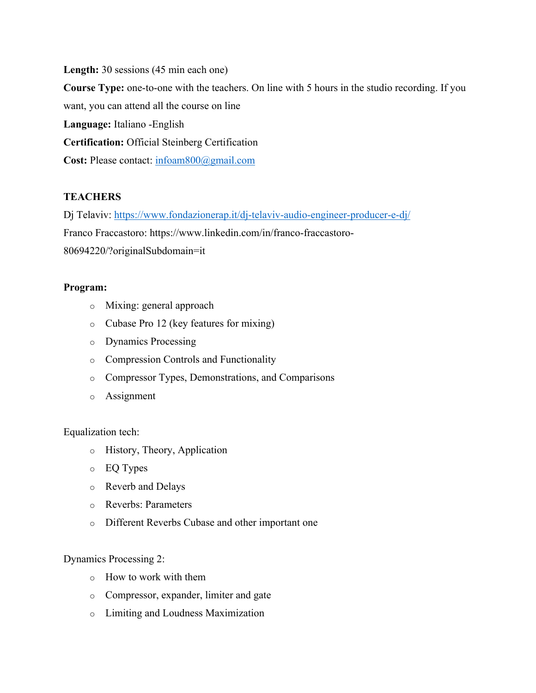**Length:** 30 sessions (45 min each one) **Course Type:** one-to-one with the teachers. On line with 5 hours in the studio recording. If you want, you can attend all the course on line **Language:** Italiano -English **Certification:** Official Steinberg Certification **Cost:** Please contact: infoam800@gmail.com

## **TEACHERS**

Dj Telaviv: https://www.fondazionerap.it/dj-telaviv-audio-engineer-producer-e-dj/ Franco Fraccastoro: https://www.linkedin.com/in/franco-fraccastoro-80694220/?originalSubdomain=it

## **Program:**

- o Mixing: general approach
- o Cubase Pro 12 (key features for mixing)
- o Dynamics Processing
- o Compression Controls and Functionality
- o Compressor Types, Demonstrations, and Comparisons
- o Assignment

## Equalization tech:

- o History, Theory, Application
- o EQ Types
- o Reverb and Delays
- o Reverbs: Parameters
- o Different Reverbs Cubase and other important one

## Dynamics Processing 2:

- o How to work with them
- o Compressor, expander, limiter and gate
- o Limiting and Loudness Maximization